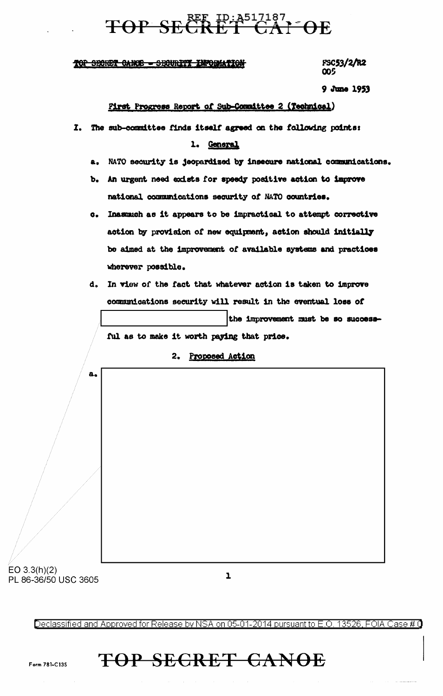# TOP SECRET GALOE

### TOP SECRET CANCE - SECURITY INFORMATION

**FSC53/2/R2** 005

9 June 1953

### First Progress Report of Sub-Committee 2 (Technical)

- The sub-committee finds itself agreed on the following points:  $\mathbf{I}$ . 1. General
	- NATO security is jeopardized by insecure national communications.  $\mathbf{a}_\bullet$
	- b. An urgent need exists for speedy positive action to improve national communications security of NATO countries.
	- c. Inasmuch as it appears to be impractical to attempt corrective action by provision of new equipment, action should initially be aimed at the improvement of available systems and practices wherever possible.
	- d. In view of the fact that whatever action is taken to improve communications security will result in the eventual loss of the improvement must be so success-

ful as to make it worth paying that price.

2. Proposed Action

# $\mathbf{a}_{\bullet}$

 $EO 3.3(h)(2)$ PL 86-36/50 USC 3605

 $\mathbf{I}$ 

Declassified and Approved for Release by NSA on 05-01-2014 pursuant to E.O. 13526. FOIA Case # 0

### **TOP SECRET CANOE**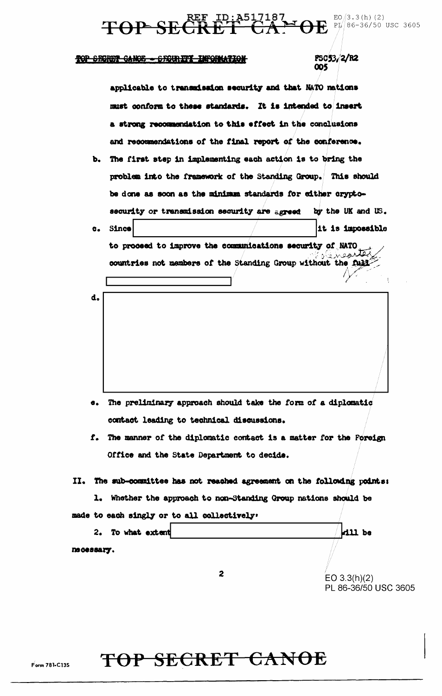REF ID: A517187 ED/3.3(h)(2)<br>CRET CA: 0E PI/86-36/50 USC 3605

### TOP SECRET CANOE - SECURITY INFORMATION

**TOP SE** 

# **FSC53/2/R2**<br>005

|            | applicable to transmission security and that NATO nations                |                      |  |  |  |  |  |
|------------|--------------------------------------------------------------------------|----------------------|--|--|--|--|--|
|            | must conform to these standards. It is intended to insert                |                      |  |  |  |  |  |
|            | a strong recommendation to this effect in the conclusions                |                      |  |  |  |  |  |
|            | and recommendations of the final report of the conference.               |                      |  |  |  |  |  |
| ъ.         | The first step in implementing each action is to bring the               |                      |  |  |  |  |  |
|            | problem into the framework of the Standing Group. This should            |                      |  |  |  |  |  |
|            | be done as soon as the minimum standards for either crypto-              |                      |  |  |  |  |  |
|            | security or transmission security are agreed                             | by the UK and US.    |  |  |  |  |  |
| с.         | <b>Since</b>                                                             | it is impossible     |  |  |  |  |  |
|            | to proceed to improve the communications security of NATO                |                      |  |  |  |  |  |
|            | countries not members of the Standing Group without the full             |                      |  |  |  |  |  |
|            |                                                                          |                      |  |  |  |  |  |
| d.         |                                                                          |                      |  |  |  |  |  |
|            |                                                                          |                      |  |  |  |  |  |
|            |                                                                          |                      |  |  |  |  |  |
|            |                                                                          |                      |  |  |  |  |  |
|            |                                                                          |                      |  |  |  |  |  |
|            |                                                                          |                      |  |  |  |  |  |
|            |                                                                          |                      |  |  |  |  |  |
|            | e. The preliminary approach should take the form of a diplomatic         |                      |  |  |  |  |  |
|            | contact leading to technical discussions.                                |                      |  |  |  |  |  |
|            | f. The manner of the diplomatic contact is a matter for the Foreign      |                      |  |  |  |  |  |
|            | Office and the State Department to decide.                               |                      |  |  |  |  |  |
|            |                                                                          |                      |  |  |  |  |  |
|            | II. The sub-committee has not reached agreement on the following points: |                      |  |  |  |  |  |
| l.         | Whether the approach to non-Standing Group nations should be             |                      |  |  |  |  |  |
|            | made to each singly or to all collectively.                              |                      |  |  |  |  |  |
|            | 2. To what extent                                                        | kill be              |  |  |  |  |  |
| nscessary. |                                                                          |                      |  |  |  |  |  |
|            |                                                                          |                      |  |  |  |  |  |
|            | $\mathbf{z}$                                                             | EO $3.3(h)(2)$       |  |  |  |  |  |
|            |                                                                          | PL 86-36/50 USC 3605 |  |  |  |  |  |

## TOP SECRET CANOE